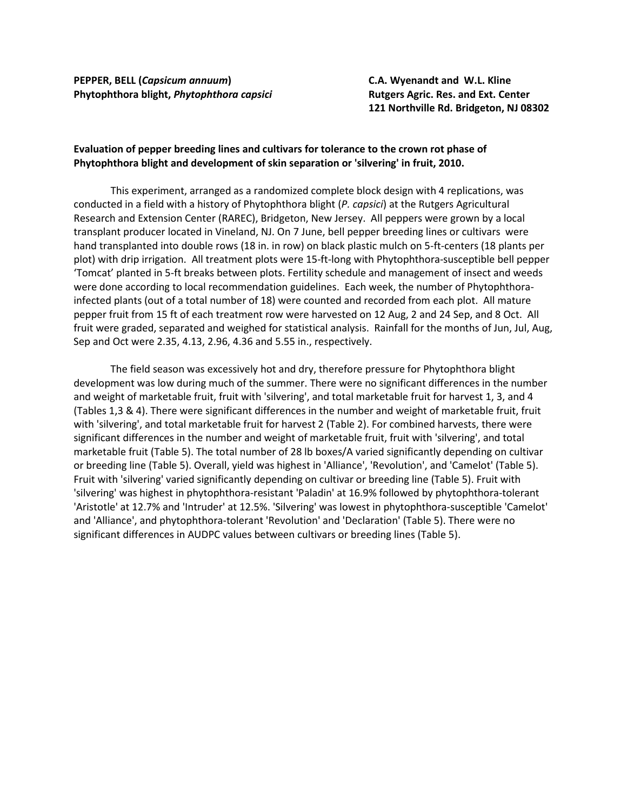**PEPPER, BELL (***Capsicum annuum***) C.A. Wyenandt and W.L. Kline Phytophthora blight,** *Phytophthora capsici* **Rutgers Agric. Res. and Ext. Center**

**121 Northville Rd. Bridgeton, NJ 08302**

## **Evaluation of pepper breeding lines and cultivars for tolerance to the crown rot phase of Phytophthora blight and development of skin separation or 'silvering' in fruit, 2010.**

This experiment, arranged as a randomized complete block design with 4 replications, was conducted in a field with a history of Phytophthora blight (*P. capsici*) at the Rutgers Agricultural Research and Extension Center (RAREC), Bridgeton, New Jersey. All peppers were grown by a local transplant producer located in Vineland, NJ. On 7 June, bell pepper breeding lines or cultivars were hand transplanted into double rows (18 in. in row) on black plastic mulch on 5-ft-centers (18 plants per plot) with drip irrigation. All treatment plots were 15-ft-long with Phytophthora-susceptible bell pepper 'Tomcat' planted in 5-ft breaks between plots. Fertility schedule and management of insect and weeds were done according to local recommendation guidelines. Each week, the number of Phytophthorainfected plants (out of a total number of 18) were counted and recorded from each plot. All mature pepper fruit from 15 ft of each treatment row were harvested on 12 Aug, 2 and 24 Sep, and 8 Oct. All fruit were graded, separated and weighed for statistical analysis. Rainfall for the months of Jun, Jul, Aug, Sep and Oct were 2.35, 4.13, 2.96, 4.36 and 5.55 in., respectively.

The field season was excessively hot and dry, therefore pressure for Phytophthora blight development was low during much of the summer. There were no significant differences in the number and weight of marketable fruit, fruit with 'silvering', and total marketable fruit for harvest 1, 3, and 4 (Tables 1,3 & 4). There were significant differences in the number and weight of marketable fruit, fruit with 'silvering', and total marketable fruit for harvest 2 (Table 2). For combined harvests, there were significant differences in the number and weight of marketable fruit, fruit with 'silvering', and total marketable fruit (Table 5). The total number of 28 lb boxes/A varied significantly depending on cultivar or breeding line (Table 5). Overall, yield was highest in 'Alliance', 'Revolution', and 'Camelot' (Table 5). Fruit with 'silvering' varied significantly depending on cultivar or breeding line (Table 5). Fruit with 'silvering' was highest in phytophthora-resistant 'Paladin' at 16.9% followed by phytophthora-tolerant 'Aristotle' at 12.7% and 'Intruder' at 12.5%. 'Silvering' was lowest in phytophthora-susceptible 'Camelot' and 'Alliance', and phytophthora-tolerant 'Revolution' and 'Declaration' (Table 5). There were no significant differences in AUDPC values between cultivars or breeding lines (Table 5).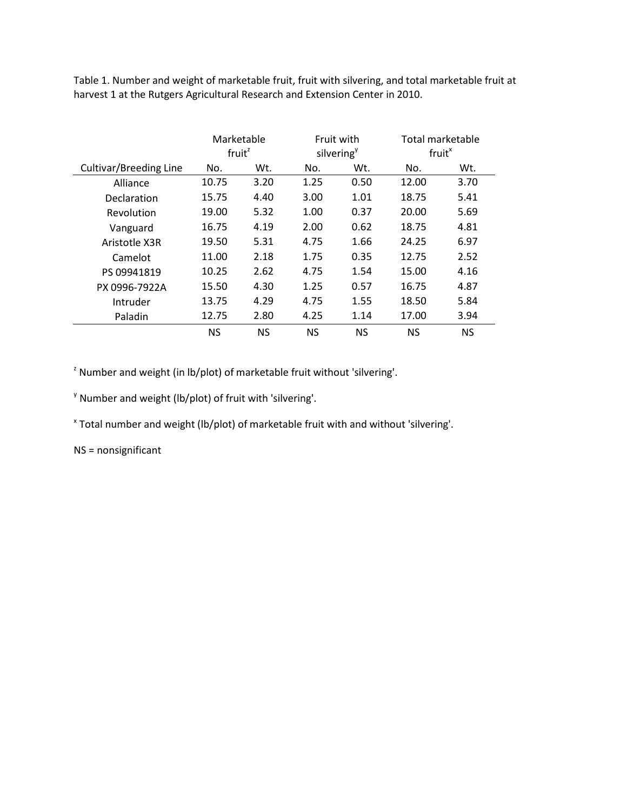Table 1. Number and weight of marketable fruit, fruit with silvering, and total marketable fruit at harvest 1 at the Rutgers Agricultural Research and Extension Center in 2010.

|                        | Marketable<br>fruit <sup>z</sup> |      | Fruit with<br>silvering <sup>y</sup> |           | Total marketable<br>fruit <sup>x</sup> |           |
|------------------------|----------------------------------|------|--------------------------------------|-----------|----------------------------------------|-----------|
| Cultivar/Breeding Line | Wt.<br>No.                       |      | No.                                  | Wt.       |                                        | Wt.       |
| Alliance               | 10.75                            | 3.20 | 1.25                                 | 0.50      | 12.00                                  | 3.70      |
| Declaration            | 15.75                            | 4.40 | 3.00                                 | 1.01      | 18.75                                  | 5.41      |
| Revolution             | 19.00                            | 5.32 | 1.00                                 | 0.37      | 20.00                                  | 5.69      |
| Vanguard               | 16.75                            | 4.19 | 2.00                                 | 0.62      | 18.75                                  | 4.81      |
| Aristotle X3R          | 19.50                            | 5.31 | 4.75                                 | 1.66      | 24.25                                  | 6.97      |
| Camelot                | 11.00                            | 2.18 | 1.75                                 | 0.35      | 12.75                                  | 2.52      |
| PS 09941819            | 10.25                            | 2.62 | 4.75                                 | 1.54      | 15.00                                  | 4.16      |
| PX 0996-7922A          | 15.50                            | 4.30 | 1.25                                 | 0.57      | 16.75                                  | 4.87      |
| Intruder               | 13.75                            | 4.29 | 4.75                                 | 1.55      | 18.50                                  | 5.84      |
| Paladin                | 2.80<br>12.75                    |      | 4.25<br>1.14                         |           | 17.00                                  | 3.94      |
|                        | <b>NS</b><br><b>NS</b>           |      | <b>NS</b>                            | <b>NS</b> | <b>NS</b>                              | <b>NS</b> |

 $2$  Number and weight (in lb/plot) of marketable fruit without 'silvering'.

 $\gamma$  Number and weight (lb/plot) of fruit with 'silvering'.

<sup>x</sup> Total number and weight (lb/plot) of marketable fruit with and without 'silvering'.

NS = nonsignificant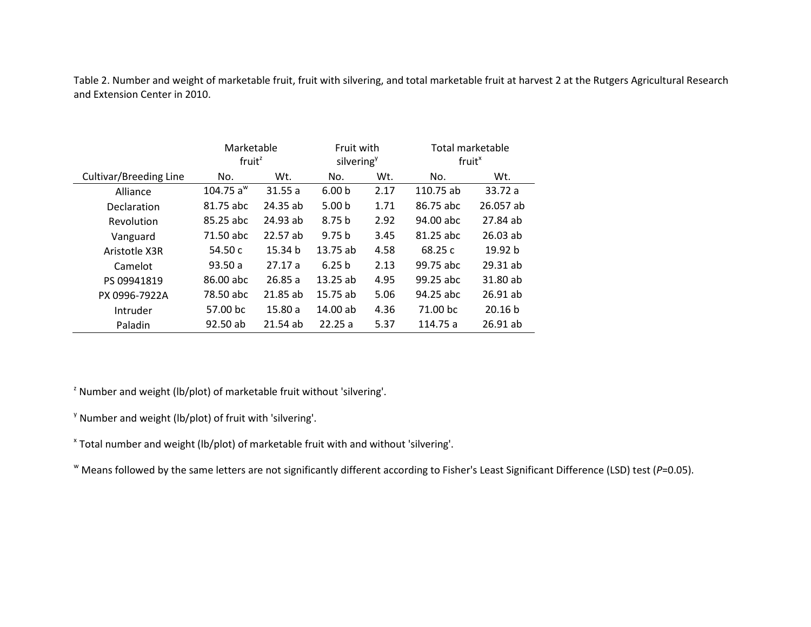| Table 2. Number and weight of marketable fruit, fruit with silvering, and total marketable fruit at harvest 2 at the Rutgers Agricultural Research |
|----------------------------------------------------------------------------------------------------------------------------------------------------|
| and Extension Center in 2010.                                                                                                                      |
|                                                                                                                                                    |

|                               | Marketable            |          | Fruit with             |      | Total marketable   |                    |  |
|-------------------------------|-----------------------|----------|------------------------|------|--------------------|--------------------|--|
|                               | fruit <sup>z</sup>    |          | silvering <sup>y</sup> |      | fruit <sup>x</sup> |                    |  |
| <b>Cultivar/Breeding Line</b> | No.                   | Wt.      |                        | Wt.  | No.                | Wt.                |  |
| Alliance                      | 104.75 a <sup>w</sup> | 31.55a   | 6.00 <sub>b</sub>      | 2.17 | 110.75 ab          | 33.72 a            |  |
| Declaration                   | 81.75 abc             | 24.35 ab | 5.00 <sub>b</sub>      | 1.71 | 86.75 abc          | 26.057 ab          |  |
| Revolution                    | 85.25 abc             | 24.93 ab | 8.75 <sub>b</sub>      | 2.92 | 94.00 abc          | 27.84 ab           |  |
| Vanguard                      | 71.50 abc             | 22.57 ab | 9.75 <sub>b</sub>      | 3.45 | 81.25 abc          | $26.03$ ab         |  |
| Aristotle X3R                 | 54.50 c               | 15.34 b  | 13.75ab                | 4.58 | 68.25c             | 19.92 <sub>b</sub> |  |
| Camelot                       | 93.50a                | 27.17a   | 6.25 <sub>b</sub>      | 2.13 | 99.75 abc          | $29.31$ ab         |  |
| PS 09941819                   | 86.00 abc             | 26.85a   | 13.25ab                | 4.95 | 99.25 abc          | 31.80 ab           |  |
| PX 0996-7922A                 | 78.50 abc             | 21.85 ab | 15.75 ab               | 5.06 | 94.25 abc          | $26.91$ ab         |  |
| Intruder                      | 57.00 bc              | 15.80a   | $14.00$ ab             | 4.36 | 71.00 bc           | 20.16 <sub>b</sub> |  |
| Paladin                       | 92.50 ab              | 21.54ab  | 22.25a                 | 5.37 | 114.75 a           | 26.91 ab           |  |

 $2$  Number and weight (lb/plot) of marketable fruit without 'silvering'.

 $\gamma$  Number and weight (lb/plot) of fruit with 'silvering'.

<sup>x</sup> Total number and weight (lb/plot) of marketable fruit with and without 'silvering'.

<sup>w</sup> Means followed by the same letters are not significantly different according to Fisher's Least Significant Difference (LSD) test (*P*=0.05).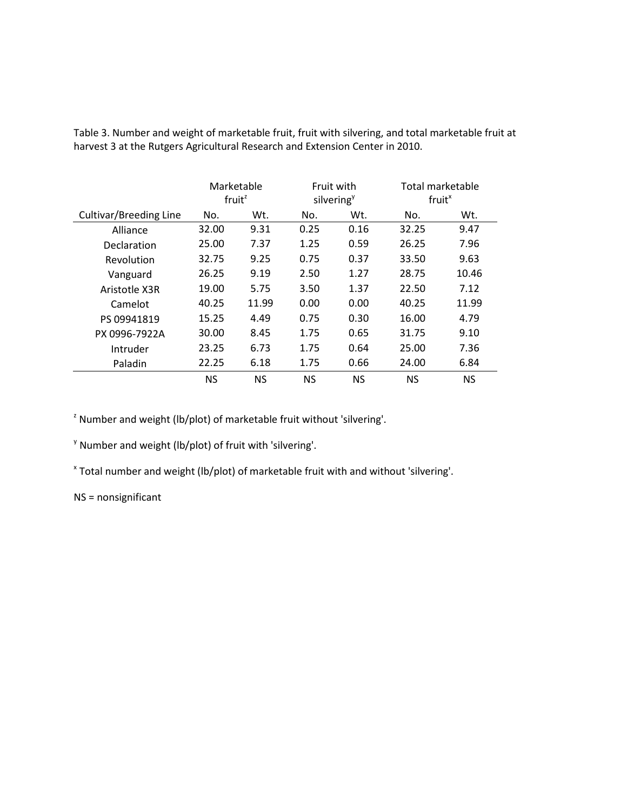|                        | Marketable<br>$f$ ruit <sup><math>z</math></sup> |           | Fruit with<br>silvering <sup>y</sup> |           | Total marketable<br>fruit <sup>x</sup> |       |
|------------------------|--------------------------------------------------|-----------|--------------------------------------|-----------|----------------------------------------|-------|
| Cultivar/Breeding Line | No.                                              | Wt.       | No.                                  | Wt.       | No.                                    | Wt.   |
| Alliance               | 32.00                                            | 9.31      | 0.25                                 | 0.16      | 32.25                                  | 9.47  |
| Declaration            | 25.00                                            | 7.37      | 1.25                                 | 0.59      | 26.25                                  | 7.96  |
| Revolution             | 32.75                                            | 9.25      | 0.75                                 | 0.37      | 33.50                                  | 9.63  |
| Vanguard               | 26.25                                            | 9.19      | 2.50                                 | 1.27      | 28.75                                  | 10.46 |
| Aristotle X3R          | 19.00                                            | 5.75      | 3.50                                 | 1.37      | 22.50                                  | 7.12  |
| Camelot                | 40.25                                            | 11.99     | 0.00                                 | 0.00      | 40.25                                  | 11.99 |
| PS 09941819            | 15.25                                            | 4.49      | 0.75                                 | 0.30      | 16.00                                  | 4.79  |
| PX 0996-7922A          | 30.00                                            | 8.45      | 1.75                                 | 0.65      | 31.75                                  | 9.10  |
| Intruder               | 23.25                                            | 6.73      | 1.75                                 | 0.64      | 25.00                                  | 7.36  |
| Paladin                | 22.25                                            | 6.18      | 1.75                                 | 0.66      | 24.00                                  | 6.84  |
|                        | <b>NS</b>                                        | <b>NS</b> | <b>NS</b>                            | <b>NS</b> | ΝS                                     | ΝS    |

Table 3. Number and weight of marketable fruit, fruit with silvering, and total marketable fruit at harvest 3 at the Rutgers Agricultural Research and Extension Center in 2010.

 $2$  Number and weight (lb/plot) of marketable fruit without 'silvering'.

 $\gamma$  Number and weight (lb/plot) of fruit with 'silvering'.

<sup>x</sup> Total number and weight (lb/plot) of marketable fruit with and without 'silvering'.

NS = nonsignificant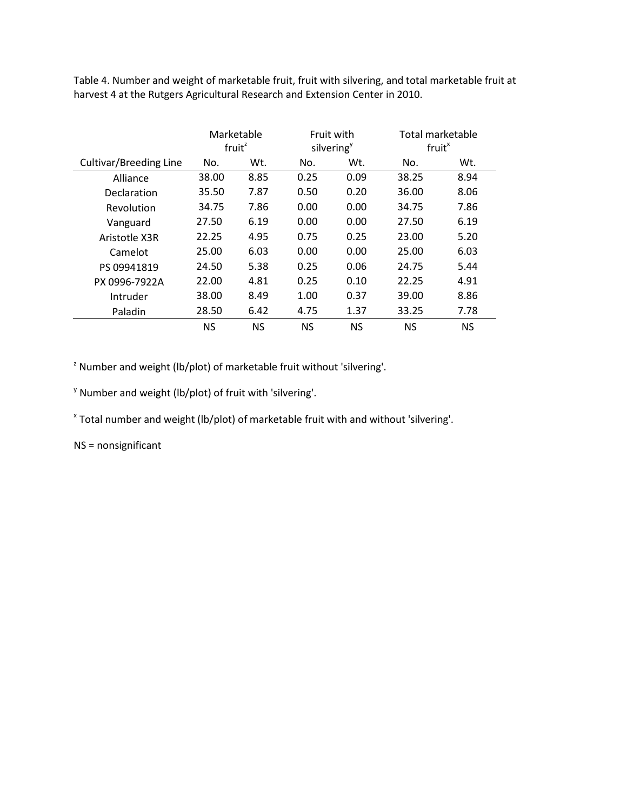Table 4. Number and weight of marketable fruit, fruit with silvering, and total marketable fruit at harvest 4 at the Rutgers Agricultural Research and Extension Center in 2010.

|                               | Marketable<br>fruit <sup>z</sup> |      | Fruit with<br>silvering <sup>y</sup> |           | Total marketable<br>fruit <sup>x</sup> |           |
|-------------------------------|----------------------------------|------|--------------------------------------|-----------|----------------------------------------|-----------|
| <b>Cultivar/Breeding Line</b> | No.                              | Wt.  | No.                                  | Wt.       | No.                                    | Wt.       |
| Alliance                      | 38.00                            | 8.85 | 0.25                                 | 0.09      | 38.25                                  | 8.94      |
| Declaration                   | 35.50                            | 7.87 | 0.50                                 | 0.20      | 36.00                                  | 8.06      |
| Revolution                    | 34.75                            | 7.86 | 0.00                                 | 0.00      | 34.75                                  | 7.86      |
| Vanguard                      | 27.50                            | 6.19 | 0.00                                 | 0.00      | 27.50                                  | 6.19      |
| Aristotle X3R                 | 22.25                            | 4.95 | 0.75                                 | 0.25      | 23.00                                  | 5.20      |
| Camelot                       | 25.00                            | 6.03 | 0.00                                 | 0.00      | 25.00                                  | 6.03      |
| PS 09941819                   | 24.50                            | 5.38 | 0.25                                 | 0.06      | 24.75                                  | 5.44      |
| PX 0996-7922A                 | 22.00                            | 4.81 | 0.25                                 | 0.10      | 22.25                                  | 4.91      |
| Intruder                      | 38.00                            | 8.49 | 1.00                                 | 0.37      | 39.00                                  | 8.86      |
| Paladin                       | 28.50                            | 6.42 | 4.75                                 | 1.37      | 33.25                                  | 7.78      |
|                               | <b>NS</b>                        | ΝS   | <b>NS</b>                            | <b>NS</b> | <b>NS</b>                              | <b>NS</b> |

 $2$  Number and weight (lb/plot) of marketable fruit without 'silvering'.

 $\gamma$  Number and weight (lb/plot) of fruit with 'silvering'.

<sup>x</sup> Total number and weight (lb/plot) of marketable fruit with and without 'silvering'.

NS = nonsignificant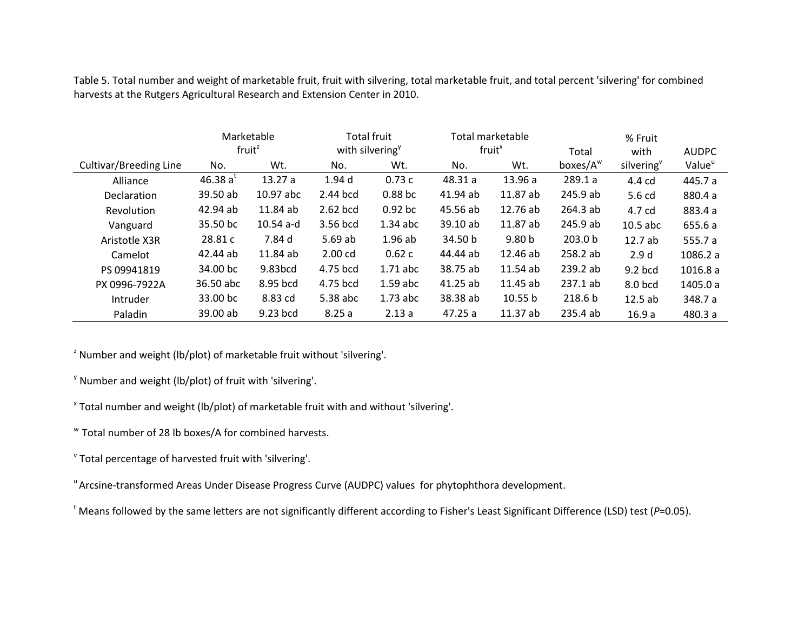|                        |                    | Marketable          |                             | <b>Total fruit</b> |                    | Total marketable  |                    | % Fruit          |                    |  |
|------------------------|--------------------|---------------------|-----------------------------|--------------------|--------------------|-------------------|--------------------|------------------|--------------------|--|
|                        | fruit <sup>z</sup> |                     | with silvering <sup>y</sup> |                    | fruit <sup>x</sup> |                   | Total              | with             | <b>AUDPC</b>       |  |
| Cultivar/Breeding Line | No.                | Wt.                 | No.                         | Wt.                | No.                | Wt.               | boxes/ $A^w$       | silvering        | Value <sup>u</sup> |  |
| Alliance               | 46.38 a'           | 13.27a              | 1.94 <sub>d</sub>           | 0.73c              | 48.31 a            | 13.96a            | 289.1a             | 4.4 cd           | 445.7 a            |  |
| <b>Declaration</b>     | 39.50 ab           | 10.97 abc           | 2.44 bcd                    | 0.88 <sub>bc</sub> | 41.94 ab           | 11.87 ab          | 245.9 ab           | 5.6 cd           | 880.4 a            |  |
| Revolution             | 42.94 ab           | 11.84 ab            | 2.62 bcd                    | $0.92$ bc          | 45.56 ab           | 12.76 ab          | 264.3 ab           | 4.7 cd           | 883.4 a            |  |
| Vanguard               | 35.50 bc           | $10.54$ a-d         | 3.56 bcd                    | $1.34$ abc         | 39.10 ab           | 11.87 ab          | 245.9 ab           | $10.5$ abc       | 655.6 a            |  |
| Aristotle X3R          | 28.81 c            | 7.84 d              | 5.69ab                      | 1.96ab             | 34.50 b            | 9.80 <sub>b</sub> | 203.0 <sub>b</sub> | 12.7 ab          | 555.7 a            |  |
| Camelot                | 42.44 ab           | 11.84 ab            | 2.00 <sub>cd</sub>          | 0.62c              | 44.44 ab           | 12.46 ab          | 258.2 ab           | 2.9 <sub>d</sub> | 1086.2 a           |  |
| PS 09941819            | 34.00 bc           | 9.83 <sub>bcd</sub> | 4.75 bcd                    | $1.71$ abc         | 38.75 ab           | 11.54 ab          | 239.2ab            | $9.2$ bcd        | 1016.8a            |  |
| PX 0996-7922A          | 36.50 abc          | 8.95 bcd            | 4.75 bcd                    | $1.59$ abc         | 41.25 ab           | 11.45 ab          | 237.1 ab           | 8.0 bcd          | 1405.0 a           |  |
| Intruder               | 33.00 bc           | 8.83 cd             | 5.38 abc                    | $1.73$ abc         | 38.38 ab           | 10.55 b           | 218.6 <sub>b</sub> | 12.5ab           | 348.7 a            |  |
| Paladin                | 39.00 ab           | 9.23 bcd            | 8.25a                       | 2.13a              | 47.25a             | 11.37 ab          | 235.4 ab           | 16.9a            | 480.3 a            |  |

Table 5. Total number and weight of marketable fruit, fruit with silvering, total marketable fruit, and total percent 'silvering' for combined harvests at the Rutgers Agricultural Research and Extension Center in 2010.

 $2$  Number and weight (lb/plot) of marketable fruit without 'silvering'.

 $\gamma$  Number and weight (lb/plot) of fruit with 'silvering'.

<sup>x</sup> Total number and weight (lb/plot) of marketable fruit with and without 'silvering'.

w Total number of 28 lb boxes/A for combined harvests.

<sup>v</sup> Total percentage of harvested fruit with 'silvering'.

<sup>u</sup> Arcsine-transformed Areas Under Disease Progress Curve (AUDPC) values for phytophthora development.

<sup>t</sup> Means followed by the same letters are not significantly different according to Fisher's Least Significant Difference (LSD) test (P=0.05).